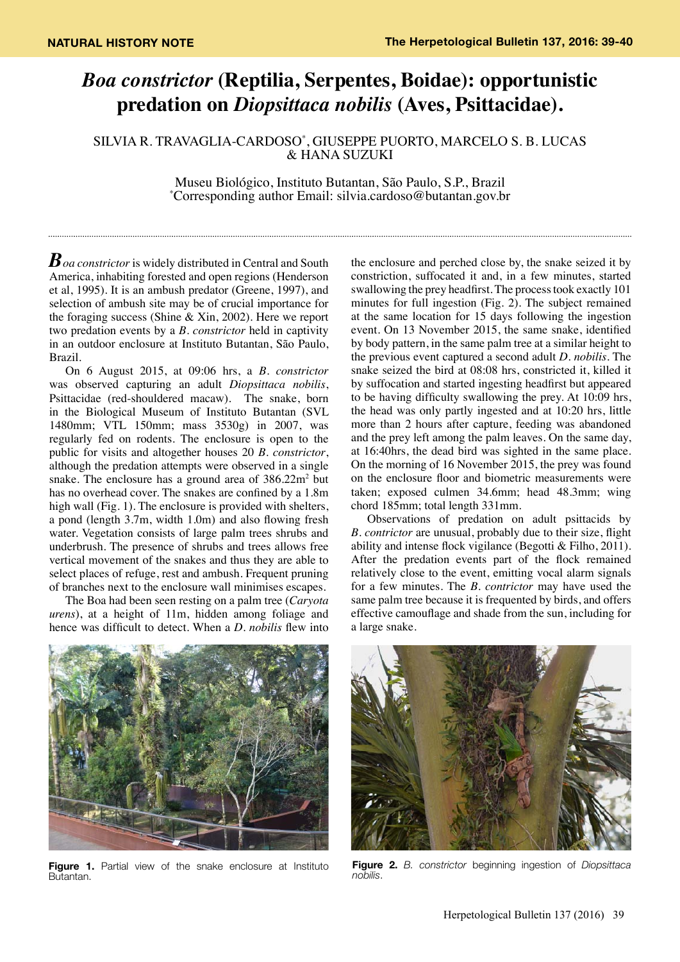## *Boa constrictor* **(Reptilia, Serpentes, Boidae): opportunistic predation on** *Diopsittaca nobilis* **(Aves, Psittacidae).**

SILVIA R. TRAVAGLIA-CARDOSO\* , GIUSEPPE PUORTO, MARCELO S. B. LUCAS & HANA SUZUKI

> Museu Biológico, Instituto Butantan, São Paulo, S.P., Brazil \* Corresponding author Email: silvia.cardoso@butantan.gov.br

*B oa constrictor* is widely distributed in Central and South America, inhabiting forested and open regions (Henderson et al, 1995). It is an ambush predator (Greene, 1997), and selection of ambush site may be of crucial importance for the foraging success (Shine & Xin, 2002). Here we report two predation events by a *B. constrictor* held in captivity in an outdoor enclosure at Instituto Butantan, São Paulo, Brazil.

On 6 August 2015, at 09:06 hrs, a *B. constrictor* was observed capturing an adult *Diopsittaca nobilis*, Psittacidae (red-shouldered macaw). The snake, born in the Biological Museum of Instituto Butantan (SVL 1480mm; VTL 150mm; mass 3530g) in 2007, was regularly fed on rodents. The enclosure is open to the public for visits and altogether houses 20 *B. constrictor*, although the predation attempts were observed in a single snake. The enclosure has a ground area of  $386.22 \text{m}^2$  but has no overhead cover. The snakes are confined by a 1.8m high wall (Fig. 1). The enclosure is provided with shelters, a pond (length 3.7m, width 1.0m) and also flowing fresh water. Vegetation consists of large palm trees shrubs and underbrush. The presence of shrubs and trees allows free vertical movement of the snakes and thus they are able to select places of refuge, rest and ambush. Frequent pruning of branches next to the enclosure wall minimises escapes.

The Boa had been seen resting on a palm tree (*Caryota urens*), at a height of 11m, hidden among foliage and hence was difficult to detect. When a *D. nobilis* flew into

the enclosure and perched close by, the snake seized it by constriction, suffocated it and, in a few minutes, started swallowing the prey headfirst. The process took exactly 101 minutes for full ingestion (Fig. 2). The subject remained at the same location for 15 days following the ingestion event. On 13 November 2015, the same snake, identified by body pattern, in the same palm tree at a similar height to the previous event captured a second adult *D. nobilis.* The snake seized the bird at 08:08 hrs, constricted it, killed it by suffocation and started ingesting headfirst but appeared to be having difficulty swallowing the prey. At 10:09 hrs, the head was only partly ingested and at 10:20 hrs, little more than 2 hours after capture, feeding was abandoned and the prey left among the palm leaves. On the same day, at 16:40hrs, the dead bird was sighted in the same place. On the morning of 16 November 2015, the prey was found on the enclosure floor and biometric measurements were taken; exposed culmen 34.6mm; head 48.3mm; wing chord 185mm; total length 331mm.

Observations of predation on adult psittacids by *B. contrictor* are unusual, probably due to their size, flight ability and intense flock vigilance (Begotti & Filho, 2011). After the predation events part of the flock remained relatively close to the event, emitting vocal alarm signals for a few minutes. The *B. contrictor* may have used the same palm tree because it is frequented by birds, and offers effective camouflage and shade from the sun, including for a large snake.



Figure 1. Partial view of the snake enclosure at Instituto Butantan.



**Figure 2.** *B. constrictor* beginning ingestion of *Diopsittaca nobilis*.